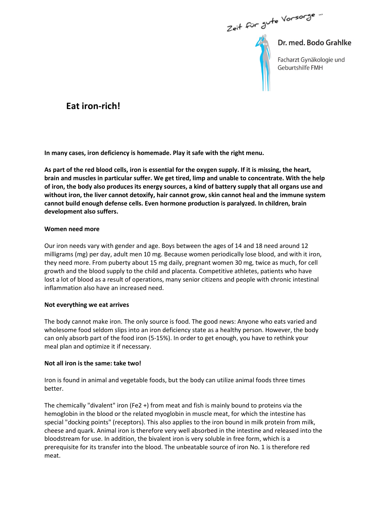Zeit für Jute Vorsorge...

Dr. med. Bodo Grahlke Facharzt Gynäkologie und

Geburtshilfe FMH

# Eat iron-rich!

In many cases, iron deficiency is homemade. Play it safe with the right menu.

As part of the red blood cells, iron is essential for the oxygen supply. If it is missing, the heart, brain and muscles in particular suffer. We get tired, limp and unable to concentrate. With the help of iron, the body also produces its energy sources, a kind of battery supply that all organs use and without iron, the liver cannot detoxify, hair cannot grow, skin cannot heal and the immune system cannot build enough defense cells. Even hormone production is paralyzed. In children, brain development also suffers.

## Women need more

Our iron needs vary with gender and age. Boys between the ages of 14 and 18 need around 12 milligrams (mg) per day, adult men 10 mg. Because women periodically lose blood, and with it iron, they need more. From puberty about 15 mg daily, pregnant women 30 mg, twice as much, for cell growth and the blood supply to the child and placenta. Competitive athletes, patients who have lost a lot of blood as a result of operations, many senior citizens and people with chronic intestinal inflammation also have an increased need.

#### Not everything we eat arrives

The body cannot make iron. The only source is food. The good news: Anyone who eats varied and wholesome food seldom slips into an iron deficiency state as a healthy person. However, the body can only absorb part of the food iron (5-15%). In order to get enough, you have to rethink your meal plan and optimize it if necessary.

## Not all iron is the same: take two!

Iron is found in animal and vegetable foods, but the body can utilize animal foods three times better.

The chemically "divalent" iron (Fe2 +) from meat and fish is mainly bound to proteins via the hemoglobin in the blood or the related myoglobin in muscle meat, for which the intestine has special "docking points" (receptors). This also applies to the iron bound in milk protein from milk, cheese and quark. Animal iron is therefore very well absorbed in the intestine and released into the bloodstream for use. In addition, the bivalent iron is very soluble in free form, which is a prerequisite for its transfer into the blood. The unbeatable source of iron No. 1 is therefore red meat.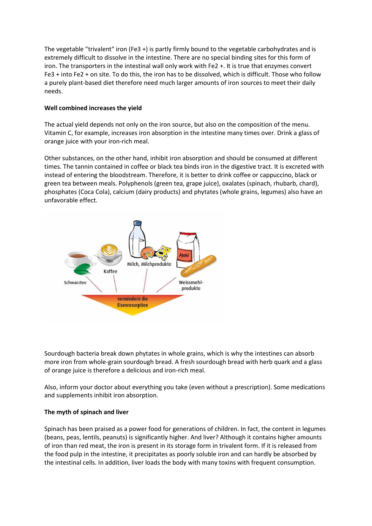The vegetable "trivalent" iron (Fe3 +) is partly firmly bound to the vegetable carbohydrates and is extremely difficult to dissolve in the intestine. There are no special binding sites for this form of iron. The transporters in the intestinal wall only work with Fe2 +. It is true that enzymes convert Fe3 + into Fe2 + on site. To do this, the iron has to be dissolved, which is difficult. Those who follow a purely plant-based diet therefore need much larger amounts of iron sources to meet their daily needs.

## Well combined increases the yield

The actual yield depends not only on the iron source, but also on the composition of the menu. Vitamin C, for example, increases iron absorption in the intestine many times over. Drink a glass of orange juice with your iron-rich meal.

Other substances, on the other hand, inhibit iron absorption and should be consumed at different times. The tannin contained in coffee or black tea binds iron in the digestive tract. It is excreted with instead of entering the bloodstream. Therefore, it is better to drink coffee or cappuccino, black or green tea between meals. Polyphenols (green tea, grape juice), oxalates (spinach, rhubarb, chard), phosphates (Coca Cola), calcium (dairy products) and phytates (whole grains, legumes) also have an unfavorable effect.



Sourdough bacteria break down phytates in whole grains, which is why the intestines can absorb more iron from whole-grain sourdough bread. A fresh sourdough bread with herb quark and a glass of orange juice is therefore a delicious and iron-rich meal.

Also, inform your doctor about everything you take (even without a prescription). Some medications and supplements inhibit iron absorption.

# The myth of spinach and liver

Spinach has been praised as a power food for generations of children. In fact, the content in legumes (beans, peas, lentils, peanuts) is significantly higher. And liver? Although it contains higher amounts of iron than red meat, the iron is present in its storage form in trivalent form. If it is released from the food pulp in the intestine, it precipitates as poorly soluble iron and can hardly be absorbed by the intestinal cells. In addition, liver loads the body with many toxins with frequent consumption.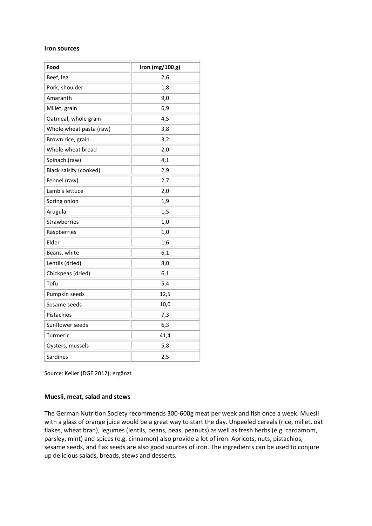#### Iron sources

| Beef, leg<br>2,6<br>Pork, shoulder<br>1,8<br>Amaranth<br>9,0<br>Millet, grain<br>6,9<br>Oatmeal, whole grain<br>4,5<br>Whole wheat pasta (raw)<br>3,8<br>3,2<br>Brown rice, grain<br>Whole wheat bread<br>2,0<br>4,1<br>Black salsify (cooked)<br>2,9<br>2,7<br>Lamb's lettuce<br>2,0<br>1,9<br>1,5<br>1,0<br>Raspberries<br>1,0<br>Elder<br>1,6<br>Beans, white<br>6,1<br>Lentils (dried)<br>8,0<br>Chickpeas (dried)<br>6,1<br>5,4<br>12,5<br>Pumpkin seeds<br>Sesame seeds<br>10,0<br>Pistachios<br>7,3<br>Sunflower seeds<br>6,3<br>41,4<br>Oysters, mussels<br>5,8<br>Sardines<br>2,5 | Food          | iron (mg/100 g) |
|--------------------------------------------------------------------------------------------------------------------------------------------------------------------------------------------------------------------------------------------------------------------------------------------------------------------------------------------------------------------------------------------------------------------------------------------------------------------------------------------------------------------------------------------------------------------------------------------|---------------|-----------------|
|                                                                                                                                                                                                                                                                                                                                                                                                                                                                                                                                                                                            |               |                 |
|                                                                                                                                                                                                                                                                                                                                                                                                                                                                                                                                                                                            |               |                 |
|                                                                                                                                                                                                                                                                                                                                                                                                                                                                                                                                                                                            |               |                 |
|                                                                                                                                                                                                                                                                                                                                                                                                                                                                                                                                                                                            |               |                 |
|                                                                                                                                                                                                                                                                                                                                                                                                                                                                                                                                                                                            |               |                 |
|                                                                                                                                                                                                                                                                                                                                                                                                                                                                                                                                                                                            |               |                 |
|                                                                                                                                                                                                                                                                                                                                                                                                                                                                                                                                                                                            |               |                 |
|                                                                                                                                                                                                                                                                                                                                                                                                                                                                                                                                                                                            |               |                 |
|                                                                                                                                                                                                                                                                                                                                                                                                                                                                                                                                                                                            | Spinach (raw) |                 |
|                                                                                                                                                                                                                                                                                                                                                                                                                                                                                                                                                                                            |               |                 |
|                                                                                                                                                                                                                                                                                                                                                                                                                                                                                                                                                                                            | Fennel (raw)  |                 |
|                                                                                                                                                                                                                                                                                                                                                                                                                                                                                                                                                                                            |               |                 |
|                                                                                                                                                                                                                                                                                                                                                                                                                                                                                                                                                                                            | Spring onion  |                 |
|                                                                                                                                                                                                                                                                                                                                                                                                                                                                                                                                                                                            | Arugula       |                 |
|                                                                                                                                                                                                                                                                                                                                                                                                                                                                                                                                                                                            | Strawberries  |                 |
|                                                                                                                                                                                                                                                                                                                                                                                                                                                                                                                                                                                            |               |                 |
|                                                                                                                                                                                                                                                                                                                                                                                                                                                                                                                                                                                            |               |                 |
|                                                                                                                                                                                                                                                                                                                                                                                                                                                                                                                                                                                            |               |                 |
|                                                                                                                                                                                                                                                                                                                                                                                                                                                                                                                                                                                            |               |                 |
|                                                                                                                                                                                                                                                                                                                                                                                                                                                                                                                                                                                            |               |                 |
|                                                                                                                                                                                                                                                                                                                                                                                                                                                                                                                                                                                            | Tofu          |                 |
|                                                                                                                                                                                                                                                                                                                                                                                                                                                                                                                                                                                            |               |                 |
|                                                                                                                                                                                                                                                                                                                                                                                                                                                                                                                                                                                            |               |                 |
|                                                                                                                                                                                                                                                                                                                                                                                                                                                                                                                                                                                            |               |                 |
|                                                                                                                                                                                                                                                                                                                                                                                                                                                                                                                                                                                            |               |                 |
|                                                                                                                                                                                                                                                                                                                                                                                                                                                                                                                                                                                            | Turmeric      |                 |
|                                                                                                                                                                                                                                                                                                                                                                                                                                                                                                                                                                                            |               |                 |
|                                                                                                                                                                                                                                                                                                                                                                                                                                                                                                                                                                                            |               |                 |

Source: Keller (DGE 2012); ergänzt

## Muesli, meat, salad and stews

The German Nutrition Society recommends 300-600g meat per week and fish once a week. Muesli with a glass of orange juice would be a great way to start the day. Unpeeled cereals (rice, millet, oat flakes, wheat bran), legumes (lentils, beans, peas, peanuts) as well as fresh herbs (e.g. cardamom, parsley, mint) and spices (e.g. cinnamon) also provide a lot of iron. Apricots, nuts, pistachios, sesame seeds, and flax seeds are also good sources of iron. The ingredients can be used to conjure up delicious salads, breads, stews and desserts.